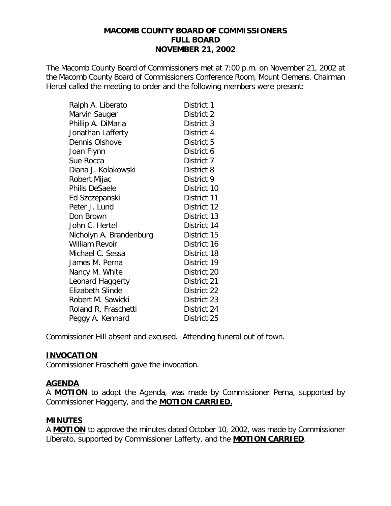### **MACOMB COUNTY BOARD OF COMMISSIONERS FULL BOARD NOVEMBER 21, 2002**

The Macomb County Board of Commissioners met at 7:00 p.m. on November 21, 2002 at the Macomb County Board of Commissioners Conference Room, Mount Clemens. Chairman Hertel called the meeting to order and the following members were present:

| Ralph A. Liberato       | District 1  |
|-------------------------|-------------|
| Marvin Sauger           | District 2  |
| Phillip A. DiMaria      | District 3  |
| Jonathan Lafferty       | District 4  |
| Dennis Olshove          | District 5  |
| Joan Flynn              | District 6  |
| Sue Rocca               | District 7  |
| Diana J. Kolakowski     | District 8  |
| Robert Mijac            | District 9  |
| <b>Philis DeSaele</b>   | District 10 |
| Ed Szczepanski          | District 11 |
| Peter J. Lund           | District 12 |
| Don Brown               | District 13 |
| John C. Hertel          | District 14 |
| Nicholyn A. Brandenburg | District 15 |
| <b>William Revoir</b>   | District 16 |
| Michael C. Sessa        | District 18 |
| James M. Perna          | District 19 |
| Nancy M. White          | District 20 |
| Leonard Haggerty        | District 21 |
| Elizabeth Slinde        | District 22 |
| Robert M. Sawicki       | District 23 |
| Roland R. Fraschetti    | District 24 |
| Peggy A. Kennard        | District 25 |

Commissioner Hill absent and excused. Attending funeral out of town.

### **INVOCATION**

Commissioner Fraschetti gave the invocation.

## **AGENDA**

A **MOTION** to adopt the Agenda, was made by Commissioner Perna, supported by Commissioner Haggerty, and the **MOTION CARRIED.**

## **MINUTES**

A **MOTION** to approve the minutes dated October 10, 2002, was made by Commissioner Liberato, supported by Commissioner Lafferty, and the **MOTION CARRIED**.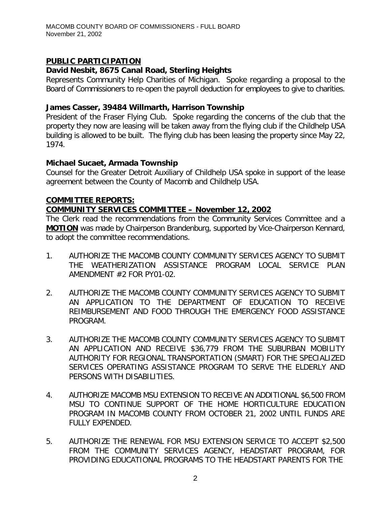# **PUBLIC PARTICIPATION**

# *David Nesbit, 8675 Canal Road, Sterling Heights*

Represents Community Help Charities of Michigan. Spoke regarding a proposal to the Board of Commissioners to re-open the payroll deduction for employees to give to charities.

## *James Casser, 39484 Willmarth, Harrison Township*

President of the Fraser Flying Club. Spoke regarding the concerns of the club that the property they now are leasing will be taken away from the flying club if the Childhelp USA building is allowed to be built. The flying club has been leasing the property since May 22, 1974.

# *Michael Sucaet, Armada Township*

Counsel for the Greater Detroit Auxiliary of Childhelp USA spoke in support of the lease agreement between the County of Macomb and Childhelp USA.

## **COMMITTEE REPORTS:**

# *COMMUNITY SERVICES COMMITTEE – November 12, 2002*

The Clerk read the recommendations from the Community Services Committee and a **MOTION** was made by Chairperson Brandenburg, supported by Vice-Chairperson Kennard, to adopt the committee recommendations.

- 1. AUTHORIZE THE MACOMB COUNTY COMMUNITY SERVICES AGENCY TO SUBMIT THE WEATHERIZATION ASSISTANCE PROGRAM LOCAL SERVICE PLAN AMENDMENT #2 FOR PY01-02.
- 2. AUTHORIZE THE MACOMB COUNTY COMMUNITY SERVICES AGENCY TO SUBMIT AN APPLICATION TO THE DEPARTMENT OF EDUCATION TO RECEIVE REIMBURSEMENT AND FOOD THROUGH THE EMERGENCY FOOD ASSISTANCE PROGRAM.
- 3. AUTHORIZE THE MACOMB COUNTY COMMUNITY SERVICES AGENCY TO SUBMIT AN APPLICATION AND RECEIVE \$36,779 FROM THE SUBURBAN MOBILITY AUTHORITY FOR REGIONAL TRANSPORTATION (SMART) FOR THE SPECIALIZED SERVICES OPERATING ASSISTANCE PROGRAM TO SERVE THE ELDERLY AND PERSONS WITH DISABILITIES.
- 4. AUTHORIZE MACOMB MSU EXTENSION TO RECEIVE AN ADDITIONAL \$6,500 FROM MSU TO CONTINUE SUPPORT OF THE HOME HORTICULTURE EDUCATION PROGRAM IN MACOMB COUNTY FROM OCTOBER 21, 2002 UNTIL FUNDS ARE FULLY EXPENDED.
- 5. AUTHORIZE THE RENEWAL FOR MSU EXTENSION SERVICE TO ACCEPT \$2,500 FROM THE COMMUNITY SERVICES AGENCY, HEADSTART PROGRAM, FOR PROVIDING EDUCATIONAL PROGRAMS TO THE HEADSTART PARENTS FOR THE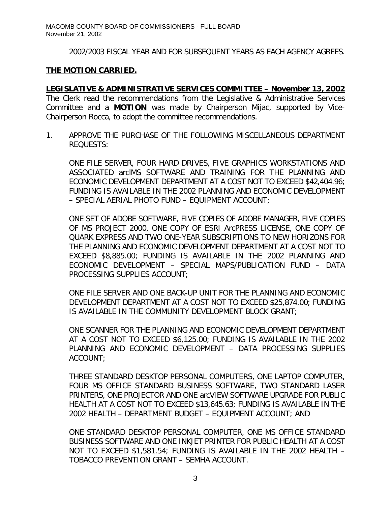2002/2003 FISCAL YEAR AND FOR SUBSEQUENT YEARS AS EACH AGENCY AGREES.

### **THE MOTION CARRIED.**

*LEGISLATIVE & ADMINISTRATIVE SERVICES COMMITTEE – November 13, 2002* The Clerk read the recommendations from the Legislative & Administrative Services Committee and a **MOTION** was made by Chairperson Mijac, supported by Vice-Chairperson Rocca, to adopt the committee recommendations.

1. APPROVE THE PURCHASE OF THE FOLLOWING MISCELLANEOUS DEPARTMENT REQUESTS:

ONE FILE SERVER, FOUR HARD DRIVES, FIVE GRAPHICS WORKSTATIONS AND ASSOCIATED arclMS SOFTWARE AND TRAINING FOR THE PLANNING AND ECONOMIC DEVELOPMENT DEPARTMENT AT A COST NOT TO EXCEED \$42,404.96; FUNDING IS AVAILABLE IN THE 2002 PLANNING AND ECONOMIC DEVELOPMENT – SPECIAL AERIAL PHOTO FUND – EQUIPMENT ACCOUNT;

ONE SET OF ADOBE SOFTWARE, FIVE COPIES OF ADOBE MANAGER, FIVE COPIES OF MS PROJECT 2000, ONE COPY OF ESRI ArcPRESS LICENSE, ONE COPY OF QUARK EXPRESS AND TWO ONE-YEAR SUBSCRIPTIONS TO NEW HORIZONS FOR THE PLANNING AND ECONOMIC DEVELOPMENT DEPARTMENT AT A COST NOT TO EXCEED \$8,885.00; FUNDING IS AVAILABLE IN THE 2002 PLANNING AND ECONOMIC DEVELOPMENT – SPECIAL MAPS/PUBLICATION FUND – DATA PROCESSING SUPPLIES ACCOUNT;

ONE FILE SERVER AND ONE BACK-UP UNIT FOR THE PLANNING AND ECONOMIC DEVELOPMENT DEPARTMENT AT A COST NOT TO EXCEED \$25,874.00; FUNDING IS AVAILABLE IN THE COMMUNITY DEVELOPMENT BLOCK GRANT;

ONE SCANNER FOR THE PLANNING AND ECONOMIC DEVELOPMENT DEPARTMENT AT A COST NOT TO EXCEED \$6,125.00; FUNDING IS AVAILABLE IN THE 2002 PLANNING AND ECONOMIC DEVELOPMENT – DATA PROCESSING SUPPLIES ACCOUNT;

THREE STANDARD DESKTOP PERSONAL COMPUTERS, ONE LAPTOP COMPUTER, FOUR MS OFFICE STANDARD BUSINESS SOFTWARE, TWO STANDARD LASER PRINTERS, ONE PROJECTOR AND ONE arcVIEW SOFTWARE UPGRADE FOR PUBLIC HEALTH AT A COST NOT TO EXCEED \$13,645.63; FUNDING IS AVAILABLE IN THE 2002 HEALTH – DEPARTMENT BUDGET – EQUIPMENT ACCOUNT; AND

ONE STANDARD DESKTOP PERSONAL COMPUTER, ONE MS OFFICE STANDARD BUSINESS SOFTWARE AND ONE INKJET PRINTER FOR PUBLIC HEALTH AT A COST NOT TO EXCEED \$1,581.54; FUNDING IS AVAILABLE IN THE 2002 HEALTH – TOBACCO PREVENTION GRANT – SEMHA ACCOUNT.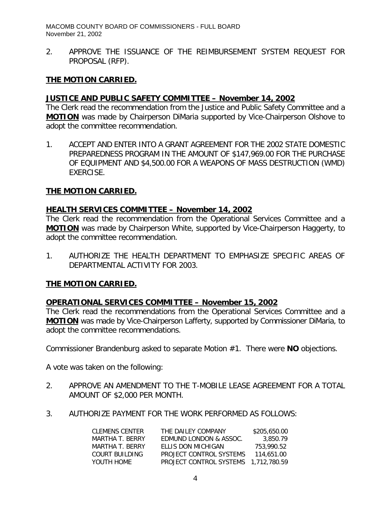MACOMB COUNTY BOARD OF COMMISSIONERS - FULL BOARD November 21, 2002

2. APPROVE THE ISSUANCE OF THE REIMBURSEMENT SYSTEM REQUEST FOR PROPOSAL (RFP).

### **THE MOTION CARRIED.**

### *JUSTICE AND PUBLIC SAFETY COMMITTEE – November 14, 2002*

The Clerk read the recommendation from the Justice and Public Safety Committee and a **MOTION** was made by Chairperson DiMaria supported by Vice-Chairperson Olshove to adopt the committee recommendation.

1. ACCEPT AND ENTER INTO A GRANT AGREEMENT FOR THE 2002 STATE DOMESTIC PREPAREDNESS PROGRAM IN THE AMOUNT OF \$147,969.00 FOR THE PURCHASE OF EQUIPMENT AND \$4,500.00 FOR A WEAPONS OF MASS DESTRUCTION (WMD) EXERCISE.

### **THE MOTION CARRIED.**

### *HEALTH SERVICES COMMITTEE – November 14, 2002*

The Clerk read the recommendation from the Operational Services Committee and a **MOTION** was made by Chairperson White, supported by Vice-Chairperson Haggerty, to adopt the committee recommendation.

1. AUTHORIZE THE HEALTH DEPARTMENT TO EMPHASIZE SPECIFIC AREAS OF DEPARTMENTAL ACTIVITY FOR 2003.

### **THE MOTION CARRIED.**

### *OPERATIONAL SERVICES COMMITTEE – November 15, 2002*

The Clerk read the recommendations from the Operational Services Committee and a **MOTION** was made by Vice-Chairperson Lafferty, supported by Commissioner DiMaria, to adopt the committee recommendations.

Commissioner Brandenburg asked to separate Motion #1. There were **NO** objections.

A vote was taken on the following:

- 2. APPROVE AN AMENDMENT TO THE T-MOBILE LEASE AGREEMENT FOR A TOTAL AMOUNT OF \$2,000 PER MONTH.
- 3. AUTHORIZE PAYMENT FOR THE WORK PERFORMED AS FOLLOWS:

| CLEMENS CENTER  | THE DAILEY COMPANY                   | \$205.650.00 |
|-----------------|--------------------------------------|--------------|
| MARTHA T. BERRY | EDMUND LONDON & ASSOC.               | 3.850.79     |
| MARTHA T BERRY  | FILIS DON MICHIGAN                   | 753.990.52   |
| COURT BUILDING  | PROJECT CONTROL SYSTEMS              | 114.651.00   |
| YOUTH HOME      | PROJECT CONTROL SYSTEMS 1,712,780.59 |              |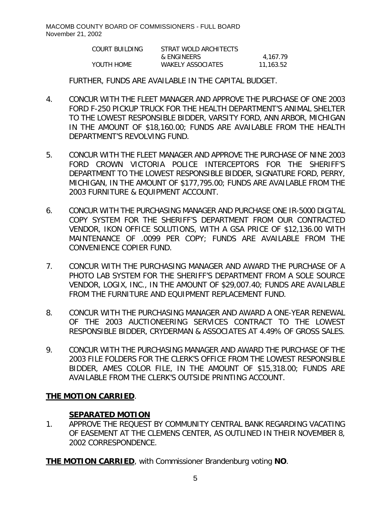| COURT BUILDING | STRAT WOLD ARCHITECTS    |           |
|----------------|--------------------------|-----------|
|                | & ENGINEERS              | 4.167.79  |
| YOUTH HOME     | <b>WAKELY ASSOCIATES</b> | 11,163.52 |

FURTHER, FUNDS ARE AVAILABLE IN THE CAPITAL BUDGET.

- 4. CONCUR WITH THE FLEET MANAGER AND APPROVE THE PURCHASE OF ONE 2003 FORD F-250 PICKUP TRUCK FOR THE HEALTH DEPARTMENT'S ANIMAL SHELTER TO THE LOWEST RESPONSIBLE BIDDER, VARSITY FORD, ANN ARBOR, MICHIGAN IN THE AMOUNT OF \$18,160.00; FUNDS ARE AVAILABLE FROM THE HEALTH DEPARTMENT'S REVOLVING FUND.
- 5. CONCUR WITH THE FLEET MANAGER AND APPROVE THE PURCHASE OF NINE 2003 FORD CROWN VICTORIA POLICE INTERCEPTORS FOR THE SHERIFF'S DEPARTMENT TO THE LOWEST RESPONSIBLE BIDDER, SIGNATURE FORD, PERRY, MICHIGAN, IN THE AMOUNT OF \$177,795.00; FUNDS ARE AVAILABLE FROM THE 2003 FURNITURE & EQUIPMENT ACCOUNT.
- 6. CONCUR WITH THE PURCHASING MANAGER AND PURCHASE ONE IR-5000 DIGITAL COPY SYSTEM FOR THE SHERIFF'S DEPARTMENT FROM OUR CONTRACTED VENDOR, IKON OFFICE SOLUTIONS, WITH A GSA PRICE OF \$12,136.00 WITH MAINTENANCE OF .0099 PER COPY; FUNDS ARE AVAILABLE FROM THE CONVENIENCE COPIER FUND.
- 7. CONCUR WITH THE PURCHASING MANAGER AND AWARD THE PURCHASE OF A PHOTO LAB SYSTEM FOR THE SHERIFF'S DEPARTMENT FROM A SOLE SOURCE VENDOR, LOGIX, INC., IN THE AMOUNT OF \$29,007.40; FUNDS ARE AVAILABLE FROM THE FURNITURE AND EQUIPMENT REPLACEMENT FUND.
- 8. CONCUR WITH THE PURCHASING MANAGER AND AWARD A ONE-YEAR RENEWAL OF THE 2003 AUCTIONEERING SERVICES CONTRACT TO THE LOWEST RESPONSIBLE BIDDER, CRYDERMAN & ASSOCIATES AT 4.49% OF GROSS SALES.
- 9. CONCUR WITH THE PURCHASING MANAGER AND AWARD THE PURCHASE OF THE 2003 FILE FOLDERS FOR THE CLERK'S OFFICE FROM THE LOWEST RESPONSIBLE BIDDER, AMES COLOR FILE, IN THE AMOUNT OF \$15,318.00; FUNDS ARE AVAILABLE FROM THE CLERK'S OUTSIDE PRINTING ACCOUNT.

## **THE MOTION CARRIED**.

### **SEPARATED MOTION**

1. APPROVE THE REQUEST BY COMMUNITY CENTRAL BANK REGARDING VACATING OF EASEMENT AT THE CLEMENS CENTER, AS OUTLINED IN THEIR NOVEMBER 8, 2002 CORRESPONDENCE.

**THE MOTION CARRIED**, with Commissioner Brandenburg voting **NO**.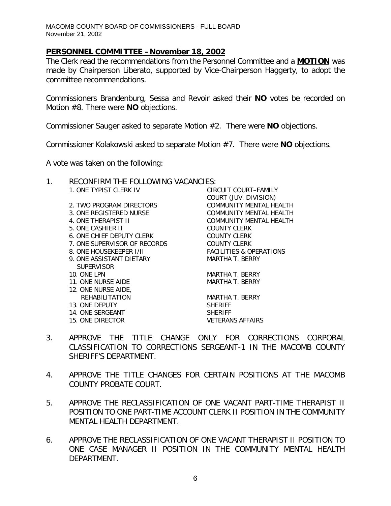### *PERSONNEL COMMITTEE –November 18, 2002*

The Clerk read the recommendations from the Personnel Committee and a **MOTION** was made by Chairperson Liberato, supported by Vice-Chairperson Haggerty, to adopt the committee recommendations.

Commissioners Brandenburg, Sessa and Revoir asked their **NO** votes be recorded on Motion #8. There were **NO** objections.

Commissioner Sauger asked to separate Motion #2. There were **NO** objections.

Commissioner Kolakowski asked to separate Motion #7. There were **NO** objections.

A vote was taken on the following:

- 1. RECONFIRM THE FOLLOWING VACANCIES:
	- 1. ONE TYPIST CLERK IV CIRCUIT COURT–FAMILY
	- 2. TWO PROGRAM DIRECTORS COMMUNITY MENTAL HEALTH 3. ONE REGISTERED NURSE COMMUNITY MENTAL HEALTH 4. ONE THERAPIST II COMMUNITY MENTAL HEALTH 5. ONE CASHIER II COUNTY CLERK 6. ONE CHIEF DEPUTY CLERK COUNTY CLERK 7. ONE SUPERVISOR OF RECORDS COUNTY CLERK 8. ONE HOUSEKEEPER I/II FACILITIES & OPERATIONS 9. ONE ASSISTANT DIETARY MARTHA T. BERRY **SUPERVISOR** 10. ONE LPN MARTHA T. BERRY 11. ONE NURSE AIDE MARTHA T. BERRY 12. ONE NURSE AIDE, REHABILITATION MARTHA T. BERRY 13. ONE DEPUTY SHERIFF
	- 14. ONE SERGEANT SHERIFF
	-

COURT (JUV. DIVISION)

15. ONE DIRECTOR VETERANS AFFAIRS

- 3. APPROVE THE TITLE CHANGE ONLY FOR CORRECTIONS CORPORAL CLASSIFICATION TO CORRECTIONS SERGEANT-1 IN THE MACOMB COUNTY SHERIFF'S DEPARTMENT.
- 4. APPROVE THE TITLE CHANGES FOR CERTAIN POSITIONS AT THE MACOMB COUNTY PROBATE COURT.
- 5. APPROVE THE RECLASSIFICATION OF ONE VACANT PART-TIME THERAPIST II POSITION TO ONE PART-TIME ACCOUNT CLERK II POSITION IN THE COMMUNITY MENTAL HEALTH DEPARTMENT.
- 6. APPROVE THE RECLASSIFICATION OF ONE VACANT THERAPIST II POSITION TO ONE CASE MANAGER II POSITION IN THE COMMUNITY MENTAL HEALTH DEPARTMENT.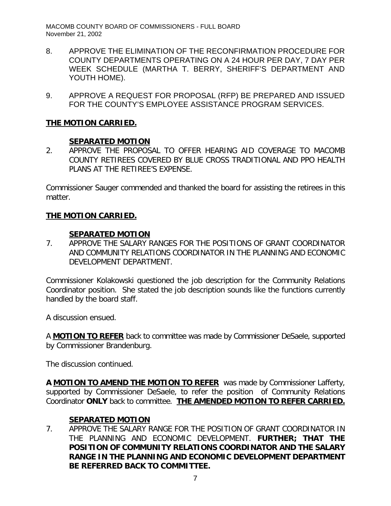MACOMB COUNTY BOARD OF COMMISSIONERS - FULL BOARD November 21, 2002

- 8. APPROVE THE ELIMINATION OF THE RECONFIRMATION PROCEDURE FOR COUNTY DEPARTMENTS OPERATING ON A 24 HOUR PER DAY, 7 DAY PER WEEK SCHEDULE (MARTHA T. BERRY, SHERIFF'S DEPARTMENT AND YOUTH HOME).
- 9. APPROVE A REQUEST FOR PROPOSAL (RFP) BE PREPARED AND ISSUED FOR THE COUNTY'S EMPLOYEE ASSISTANCE PROGRAM SERVICES.

# **THE MOTION CARRIED.**

## **SEPARATED MOTION**

2. APPROVE THE PROPOSAL TO OFFER HEARING AID COVERAGE TO MACOMB COUNTY RETIREES COVERED BY BLUE CROSS TRADITIONAL AND PPO HEALTH PLANS AT THE RETIREE'S EXPENSE.

Commissioner Sauger commended and thanked the board for assisting the retirees in this matter.

# **THE MOTION CARRIED.**

### **SEPARATED MOTION**

7. APPROVE THE SALARY RANGES FOR THE POSITIONS OF GRANT COORDINATOR AND COMMUNITY RELATIONS COORDINATOR IN THE PLANNING AND ECONOMIC DEVELOPMENT DEPARTMENT.

Commissioner Kolakowski questioned the job description for the Community Relations Coordinator position. She stated the job description sounds like the functions currently handled by the board staff.

A discussion ensued.

A **MOTION TO REFER** back to committee was made by Commissioner DeSaele, supported by Commissioner Brandenburg.

The discussion continued.

**A MOTION TO AMEND THE MOTION TO REFER** was made by Commissioner Lafferty, supported by Commissioner DeSaele, to refer the position of Community Relations Coordinator **ONLY** back to committee. **THE AMENDED MOTION TO REFER CARRIED.**

## **SEPARATED MOTION**

7. APPROVE THE SALARY RANGE FOR THE POSITION OF GRANT COORDINATOR IN THE PLANNING AND ECONOMIC DEVELOPMENT. *FURTHER; THAT THE POSITION OF COMMUNITY RELATIONS COORDINATOR AND THE SALARY RANGE IN THE PLANNING AND ECONOMIC DEVELOPMENT DEPARTMENT BE REFERRED BACK TO COMMITTEE.*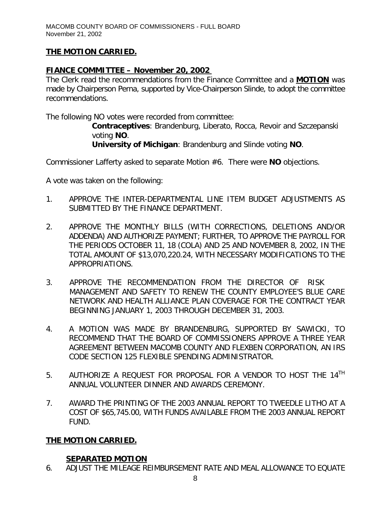# **THE MOTION CARRIED.**

# *FIANCE COMMITTEE – November 20, 2002*

The Clerk read the recommendations from the Finance Committee and a **MOTION** was made by Chairperson Perna, supported by Vice-Chairperson Slinde, to adopt the committee recommendations.

The following NO votes were recorded from committee:

*Contraceptives*: Brandenburg, Liberato, Rocca, Revoir and Szczepanski voting **NO**. *University of Michigan*: Brandenburg and Slinde voting **NO**.

Commissioner Lafferty asked to separate Motion #6. There were **NO** objections.

A vote was taken on the following:

- 1. APPROVE THE INTER-DEPARTMENTAL LINE ITEM BUDGET ADJUSTMENTS AS SUBMITTED BY THE FINANCE DEPARTMENT.
- 2. APPROVE THE MONTHLY BILLS (WITH CORRECTIONS, DELETIONS AND/OR ADDENDA) AND AUTHORIZE PAYMENT; FURTHER, TO APPROVE THE PAYROLL FOR THE PERIODS OCTOBER 11, 18 (COLA) AND 25 AND NOVEMBER 8, 2002, IN THE TOTAL AMOUNT OF \$13,070,220.24, WITH NECESSARY MODIFICATIONS TO THE APPROPRIATIONS.
- 3. APPROVE THE RECOMMENDATION FROM THE DIRECTOR OF RISK MANAGEMENT AND SAFETY TO RENEW THE COUNTY EMPLOYEE'S BLUE CARE NETWORK AND HEALTH ALLIANCE PLAN COVERAGE FOR THE CONTRACT YEAR BEGINNING JANUARY 1, 2003 THROUGH DECEMBER 31, 2003.
- 4. A MOTION WAS MADE BY BRANDENBURG, SUPPORTED BY SAWICKI, TO RECOMMEND THAT THE BOARD OF COMMISSIONERS APPROVE A THREE YEAR AGREEMENT BETWEEN MACOMB COUNTY AND FLEXBEN CORPORATION, AN IRS CODE SECTION 125 FLEXIBLE SPENDING ADMINISTRATOR.
- 5. AUTHORIZE A REQUEST FOR PROPOSAL FOR A VENDOR TO HOST THE 14<sup>TH</sup> ANNUAL VOLUNTEER DINNER AND AWARDS CEREMONY.
- 7. AWARD THE PRINTING OF THE 2003 ANNUAL REPORT TO TWEEDLE LITHO AT A COST OF \$65,745.00, WITH FUNDS AVAILABLE FROM THE 2003 ANNUAL REPORT FUND.

## **THE MOTION CARRIED.**

## **SEPARATED MOTION**

6. ADJUST THE MILEAGE REIMBURSEMENT RATE AND MEAL ALLOWANCE TO EQUATE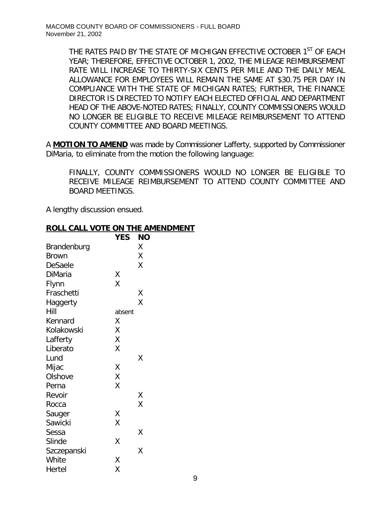THE RATES PAID BY THE STATE OF MICHIGAN EFFECTIVE OCTOBER 1<sup>ST</sup> OF EACH YEAR; THEREFORE, EFFECTIVE OCTOBER 1, 2002, THE MILEAGE REIMBURSEMENT RATE WILL INCREASE TO THIRTY-SIX CENTS PER MILE AND THE DAILY MEAL ALLOWANCE FOR EMPLOYEES WILL REMAIN THE SAME AT \$30.75 PER DAY IN COMPLIANCE WITH THE STATE OF MICHIGAN RATES; FURTHER, THE FINANCE DIRECTOR IS DIRECTED TO NOTIFY EACH ELECTED OFFICIAL AND DEPARTMENT HEAD OF THE ABOVE-NOTED RATES; FINALLY, COUNTY COMMISSIONERS WOULD NO LONGER BE ELIGIBLE TO RECEIVE MILEAGE REIMBURSEMENT TO ATTEND COUNTY COMMITTEE AND BOARD MEETINGS.

A **MOTION TO AMEND** was made by Commissioner Lafferty, supported by Commissioner DiMaria, to eliminate from the motion the following language:

*FINALLY, COUNTY COMMISSIONERS WOULD NO LONGER BE ELIGIBLE TO RECEIVE MILEAGE REIMBURSEMENT TO ATTEND COUNTY COMMITTEE AND BOARD MEETINGS.*

A lengthy discussion ensued.

## **ROLL CALL VOTE ON THE AMENDMENT**

|             | <b>YES</b> | NΟ |
|-------------|------------|----|
| Brandenburg |            | Χ  |
| Brown       |            | Χ  |
| DeSaele     |            | Χ  |
| DiMaria     | Χ          |    |
| Flynn       | X          |    |
| Fraschetti  |            | Χ  |
| Haggerty    |            | X  |
| Hill        | absent     |    |
| Kennard     | Χ          |    |
| Kolakowski  | Χ          |    |
| Lafferty    | X          |    |
| Liberato    | Χ          |    |
| Lund        |            | Χ  |
| Mijac       | Χ          |    |
| Olshove     | X          |    |
| Perna       | X          |    |
| Revoir      |            | Χ  |
| Rocca       |            | X  |
| Sauger      | Χ          |    |
| Sawicki     | X          |    |
| Sessa       |            | Χ  |
| Slinde      | Χ          |    |
| Szczepanski |            | Χ  |
| White       | Χ          |    |
| Hertel      | Χ          |    |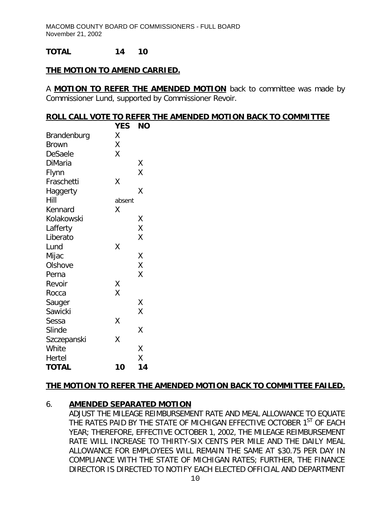### **TOTAL 14 10**

### **THE MOTION TO AMEND CARRIED.**

A **MOTION TO REFER THE AMENDED MOTION** back to committee was made by Commissioner Lund, supported by Commissioner Revoir.

#### **ROLL CALL VOTE TO REFER THE AMENDED MOTION BACK TO COMMITTEE**

|              | YES    | <b>NO</b> |
|--------------|--------|-----------|
| Brandenburg  | X      |           |
| <b>Brown</b> | Χ      |           |
| DeSaele      | X      |           |
| DiMaria      |        | Χ         |
| Flynn        |        | X         |
| Fraschetti   | Χ      |           |
| Haggerty     |        | Χ         |
| Hill         | absent |           |
| Kennard      | Χ      |           |
| Kolakowski   |        | Χ         |
| Lafferty     |        | X         |
| Liberato     |        | X         |
| Lund         | Χ      |           |
| Mijac        |        | Χ         |
| Olshove      |        | X         |
| Perna        |        | X         |
| Revoir       | Χ      |           |
| Rocca        | X      |           |
| Sauger       |        | Χ         |
| Sawicki      |        | X         |
| Sessa        | Χ      |           |
| Slinde       |        | Χ         |
| Szczepanski  | X      |           |
| White        |        | Χ         |
| Hertel       |        | Χ         |
| <b>TOTAL</b> | 10     | 14        |

### **THE MOTION TO REFER THE AMENDED MOTION BACK TO COMMITTEE FAILED.**

## 6. **AMENDED SEPARATED MOTION**

 *ADJUST THE MILEAGE REIMBURSEMENT RATE AND MEAL ALLOWANCE TO EQUATE THE RATES PAID BY THE STATE OF MICHIGAN EFFECTIVE OCTOBER 1ST OF EACH YEAR; THEREFORE, EFFECTIVE OCTOBER 1, 2002, THE MILEAGE REIMBURSEMENT RATE WILL INCREASE TO THIRTY-SIX CENTS PER MILE AND THE DAILY MEAL ALLOWANCE FOR EMPLOYEES WILL REMAIN THE SAME AT \$30.75 PER DAY IN COMPLIANCE WITH THE STATE OF MICHIGAN RATES; FURTHER, THE FINANCE DIRECTOR IS DIRECTED TO NOTIFY EACH ELECTED OFFICIAL AND DEPARTMENT*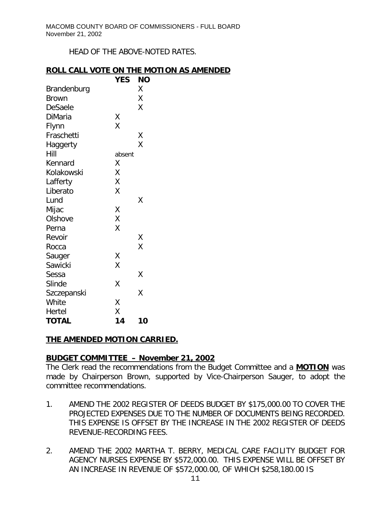*HEAD OF THE ABOVE-NOTED RATES.*

### **ROLL CALL VOTE ON THE MOTION AS AMENDED**

|              | <b>YES</b> | <b>NO</b> |
|--------------|------------|-----------|
| Brandenburg  |            | Χ         |
| <b>Brown</b> |            | Χ         |
| DeSaele      |            | Χ         |
| DiMaria      | Χ          |           |
| Flynn        | Χ          |           |
| Fraschetti   |            | Χ         |
| Haggerty     |            | X         |
| Hill         | absent     |           |
| Kennard      | Χ          |           |
| Kolakowski   | Χ          |           |
| Lafferty     | Χ          |           |
| Liberato     | Χ          |           |
| Lund         |            | Χ         |
| Mijac        | Χ          |           |
| Olshove      | Χ          |           |
| Perna        | Χ          |           |
| Revoir       |            | Χ         |
| Rocca        |            | X         |
| Sauger       | Χ          |           |
| Sawicki      | Χ          |           |
| Sessa        |            | Χ         |
| Slinde       | Χ          |           |
| Szczepanski  |            | Χ         |
| White        | Χ          |           |
| Hertel       | Χ          |           |
| <b>TOTAL</b> | 14         | 10        |

## **THE AMENDED MOTION CARRIED.**

## **BUDGET COMMITTEE – November 21, 2002**

The Clerk read the recommendations from the Budget Committee and a **MOTION** was made by Chairperson Brown, supported by Vice-Chairperson Sauger, to adopt the committee recommendations.

- 1. AMEND THE 2002 REGISTER OF DEEDS BUDGET BY \$175,000.00 TO COVER THE PROJECTED EXPENSES DUE TO THE NUMBER OF DOCUMENTS BEING RECORDED. THIS EXPENSE IS OFFSET BY THE INCREASE IN THE 2002 REGISTER OF DEEDS REVENUE-RECORDING FEES.
- 2. AMEND THE 2002 MARTHA T. BERRY, MEDICAL CARE FACILITY BUDGET FOR AGENCY NURSES EXPENSE BY \$572,000.00. THIS EXPENSE WILL BE OFFSET BY AN INCREASE IN REVENUE OF \$572,000.00, OF WHICH \$258,180.00 IS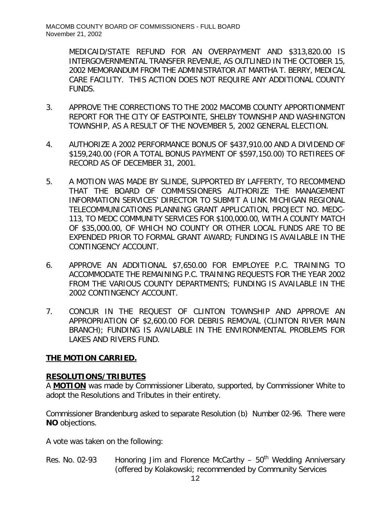MEDICAID/STATE REFUND FOR AN OVERPAYMENT AND \$313,820.00 IS INTERGOVERNMENTAL TRANSFER REVENUE, AS OUTLINED IN THE OCTOBER 15, 2002 MEMORANDUM FROM THE ADMINISTRATOR AT MARTHA T. BERRY, MEDICAL CARE FACILITY. THIS ACTION DOES NOT REQUIRE ANY ADDITIONAL COUNTY FUNDS.

- 3. APPROVE THE CORRECTIONS TO THE 2002 MACOMB COUNTY APPORTIONMENT REPORT FOR THE CITY OF EASTPOINTE, SHELBY TOWNSHIP AND WASHINGTON TOWNSHIP, AS A RESULT OF THE NOVEMBER 5, 2002 GENERAL ELECTION.
- 4. AUTHORIZE A 2002 PERFORMANCE BONUS OF \$437,910.00 AND A DIVIDEND OF \$159,240.00 (FOR A TOTAL BONUS PAYMENT OF \$597,150.00) TO RETIREES OF RECORD AS OF DECEMBER 31, 2001.
- 5. A MOTION WAS MADE BY SLINDE, SUPPORTED BY LAFFERTY, TO RECOMMEND THAT THE BOARD OF COMMISSIONERS AUTHORIZE THE MANAGEMENT INFORMATION SERVICES' DIRECTOR TO SUBMIT A LINK MICHIGAN REGIONAL TELECOMMUNICATIONS PLANNING GRANT APPLICATION, PROJECT NO. MEDC-113, TO MEDC COMMUNITY SERVICES FOR \$100,000.00, WITH A COUNTY MATCH OF \$35,000.00, OF WHICH NO COUNTY OR OTHER LOCAL FUNDS ARE TO BE EXPENDED PRIOR TO FORMAL GRANT AWARD; FUNDING IS AVAILABLE IN THE CONTINGENCY ACCOUNT.
- 6. APPROVE AN ADDITIONAL \$7,650.00 FOR EMPLOYEE P.C. TRAINING TO ACCOMMODATE THE REMAINING P.C. TRAINING REQUESTS FOR THE YEAR 2002 FROM THE VARIOUS COUNTY DEPARTMENTS; FUNDING IS AVAILABLE IN THE 2002 CONTINGENCY ACCOUNT.
- 7. CONCUR IN THE REQUEST OF CLINTON TOWNSHIP AND APPROVE AN APPROPRIATION OF \$2,600.00 FOR DEBRIS REMOVAL (CLINTON RIVER MAIN BRANCH); FUNDING IS AVAILABLE IN THE ENVIRONMENTAL PROBLEMS FOR LAKES AND RIVERS FUND.

# **THE MOTION CARRIED.**

# **RESOLUTIONS/TRIBUTES**

A **MOTION** was made by Commissioner Liberato, supported, by Commissioner White to adopt the Resolutions and Tributes in their entirety.

Commissioner Brandenburg asked to separate Resolution (b) Number 02-96. There were **NO** objections.

A vote was taken on the following:

Res. No. 02-93 Honoring Jim and Florence McCarthy  $-50<sup>th</sup>$  Wedding Anniversary (offered by Kolakowski; recommended by Community Services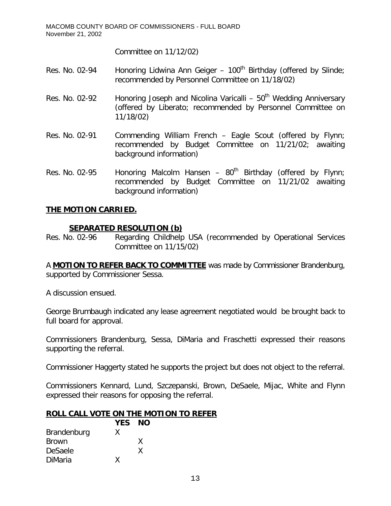MACOMB COUNTY BOARD OF COMMISSIONERS - FULL BOARD November 21, 2002

Committee on 11/12/02)

- Res. No. 02-94 Honoring Lidwina Ann Geiger  $100<sup>th</sup>$  Birthday (offered by Slinde; recommended by Personnel Committee on 11/18/02)
- Res. No. 02-92 Honoring Joseph and Nicolina Varicalli  $50<sup>th</sup>$  Wedding Anniversary (offered by Liberato; recommended by Personnel Committee on 11/18/02)
- Res. No. 02-91 Commending William French Eagle Scout (offered by Flynn; recommended by Budget Committee on 11/21/02; awaiting background information)
- Res. No. 02-95 Honoring Malcolm Hansen  $80<sup>th</sup>$  Birthday (offered by Flynn; recommended by Budget Committee on 11/21/02 awaiting background information)

### **THE MOTION CARRIED.**

### **SEPARATED RESOLUTION (b)**

Res. No. 02-96 Regarding Childhelp USA (recommended by Operational Services Committee on 11/15/02)

A **MOTION TO REFER BACK TO COMMITTEE** was made by Commissioner Brandenburg, supported by Commissioner Sessa.

A discussion ensued.

George Brumbaugh indicated any lease agreement negotiated would be brought back to full board for approval.

Commissioners Brandenburg, Sessa, DiMaria and Fraschetti expressed their reasons supporting the referral.

Commissioner Haggerty stated he supports the project but does not object to the referral.

Commissioners Kennard, Lund, Szczepanski, Brown, DeSaele, Mijac, White and Flynn expressed their reasons for opposing the referral.

### **ROLL CALL VOTE ON THE MOTION TO REFER**

|              | YES NO |   |  |
|--------------|--------|---|--|
| Brandenburg  | X      |   |  |
| <b>Brown</b> |        | X |  |
| DeSaele      |        | x |  |
| DiMaria      | x      |   |  |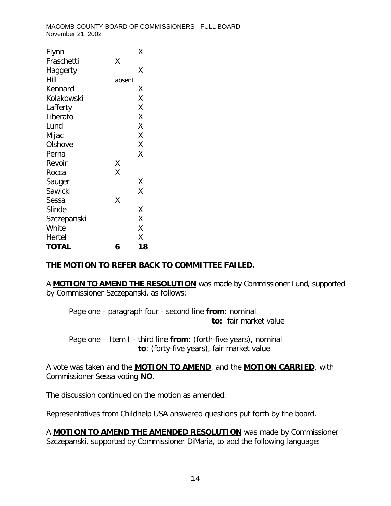| Flynn        |        | Χ  |
|--------------|--------|----|
| Fraschetti   | Χ      |    |
| Haggerty     |        | Χ  |
| Hill         | absent |    |
| Kennard      |        | Χ  |
| Kolakowski   |        | X  |
| Lafferty     |        | X  |
| Liberato     |        | Χ  |
| Lund         |        | X  |
| Mijac        |        | X  |
| Olshove      |        | Χ  |
| Perna        |        | X  |
| Revoir       | Χ      |    |
| Rocca        | X      |    |
| Sauger       |        | Χ  |
| Sawicki      |        | X  |
| Sessa        | Χ      |    |
| Slinde       |        | Χ  |
| Szczepanski  |        | X  |
| White        |        | X  |
| Hertel       |        | X  |
| <b>TOTAL</b> | 6      | 18 |

## **THE MOTION TO REFER BACK TO COMMITTEE FAILED.**

A **MOTION TO AMEND THE RESOLUTION** was made by Commissioner Lund, supported by Commissioner Szczepanski, as follows:

Page one - paragraph four - second line *from*: nominal *to:* fair market value

Page one – Item I - third line *from*: (forth-five years), nominal *to*: (forty-five years), fair market value

A vote was taken and the **MOTION TO AMEND**, and the **MOTION CARRIED**, with Commissioner Sessa voting **NO**.

The discussion continued on the motion as amended.

Representatives from Childhelp USA answered questions put forth by the board.

A **MOTION TO AMEND THE AMENDED RESOLUTION** was made by Commissioner Szczepanski, supported by Commissioner DiMaria, to add the following language: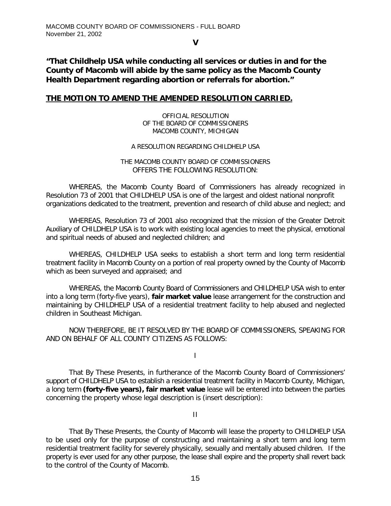**V**

*"That Childhelp USA while conducting all services or duties in and for the County of Macomb will abide by the same policy as the Macomb County Health Department regarding abortion or referrals for abortion."*

#### **THE MOTION TO AMEND THE AMENDED RESOLUTION CARRIED.**

OFFICIAL RESOLUTION OF THE BOARD OF COMMISSIONERS MACOMB COUNTY, MICHIGAN

#### A RESOLUTION REGARDING CHILDHELP USA

#### THE MACOMB COUNTY BOARD OF COMMISSIONERS OFFERS THE FOLLOWING RESOLUTION:

WHEREAS, the Macomb County Board of Commissioners has already recognized in Resolution 73 of 2001 that CHILDHELP USA is one of the largest and oldest national nonprofit organizations dedicated to the treatment, prevention and research of child abuse and neglect; and

WHEREAS, Resolution 73 of 2001 also recognized that the mission of the Greater Detroit Auxiliary of CHILDHELP USA is to work with existing local agencies to meet the physical, emotional and spiritual needs of abused and neglected children; and

WHEREAS, CHILDHELP USA seeks to establish a short term and long term residential treatment facility in Macomb County on a portion of real property owned by the County of Macomb which as been surveyed and appraised; and

WHEREAS, the Macomb County Board of Commissioners and CHILDHELP USA wish to enter into a long term (forty-five years), *fair market value* lease arrangement for the construction and maintaining by CHILDHELP USA of a residential treatment facility to help abused and neglected children in Southeast Michigan.

NOW THEREFORE, BE IT RESOLVED BY THE BOARD OF COMMISSIONERS, SPEAKING FOR AND ON BEHALF OF ALL COUNTY CITIZENS AS FOLLOWS:

I

That By These Presents, in furtherance of the Macomb County Board of Commissioners' support of CHILDHELP USA to establish a residential treatment facility in Macomb County, Michigan, a long term *(forty-five years), fair market value* lease will be entered into between the parties concerning the property whose legal description is (insert description):

II

That By These Presents, the County of Macomb will lease the property to CHILDHELP USA to be used only for the purpose of constructing and maintaining a short term and long term residential treatment facility for severely physically, sexually and mentally abused children. If the property is ever used for any other purpose, the lease shall expire and the property shall revert back to the control of the County of Macomb.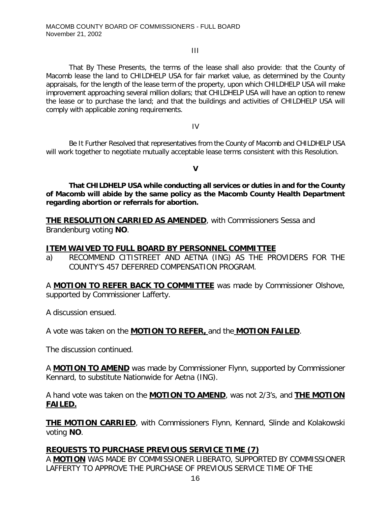#### III

That By These Presents, the terms of the lease shall also provide: that the County of Macomb lease the land to CHILDHELP USA for fair market value, as determined by the County appraisals, for the length of the lease term of the property, upon which CHILDHELP USA will make improvement approaching several million dollars; that CHILDHELP USA will have an option to renew the lease or to purchase the land; and that the buildings and activities of CHILDHELP USA will comply with applicable zoning requirements.

IV

Be It Further Resolved that representatives from the County of Macomb and CHILDHELP USA will work together to negotiate mutually acceptable lease terms consistent with this Resolution.

*V*

*That CHILDHELP USA while conducting all services or duties in and for the County of Macomb will abide by the same policy as the Macomb County Health Department regarding abortion or referrals for abortion.*

**THE RESOLUTION CARRIED AS AMENDED**, with Commissioners Sessa and Brandenburg voting **NO**.

### **ITEM WAIVED TO FULL BOARD BY PERSONNEL COMMITTEE**

a) RECOMMEND CITISTREET AND AETNA (ING) AS THE PROVIDERS FOR THE COUNTY'S 457 DEFERRED COMPENSATION PROGRAM.

A **MOTION TO REFER BACK TO COMMITTEE** was made by Commissioner Olshove, supported by Commissioner Lafferty.

A discussion ensued.

A vote was taken on the **MOTION TO REFER,** and the **MOTION FAILED**.

The discussion continued.

A **MOTION TO AMEND** was made by Commissioner Flynn, supported by Commissioner Kennard, to substitute Nationwide for Aetna (ING).

A hand vote was taken on the **MOTION TO AMEND**, was not 2/3's, and **THE MOTION FAILED.**

**THE MOTION CARRIED**, with Commissioners Flynn, Kennard, Slinde and Kolakowski voting **NO**.

### **REQUESTS TO PURCHASE PREVIOUS SERVICE TIME (7)**

A **MOTION** WAS MADE BY COMMISSIONER LIBERATO, SUPPORTED BY COMMISSIONER LAFFERTY TO APPROVE THE PURCHASE OF PREVIOUS SERVICE TIME OF THE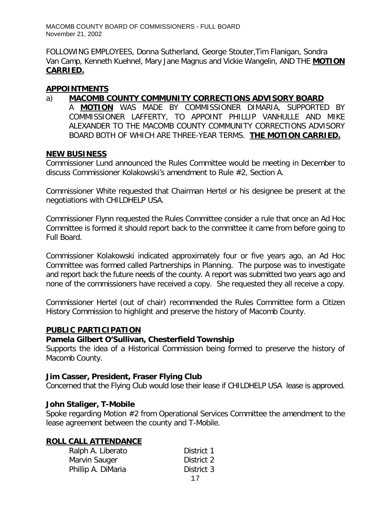FOLLOWING EMPLOYEES, *Donna Sutherland, George Stouter,Tim Flanigan, Sondra Van Camp, Kenneth Kuehnel, Mary Jane Magnus and Vickie Wangelin*, AND THE **MOTION CARRIED.**

### **APPOINTMENTS**

### a) **MACOMB COUNTY COMMUNITY CORRECTIONS ADVISORY BOARD**

A **MOTION** WAS MADE BY COMMISSIONER DIMARIA, SUPPORTED BY COMMISSIONER LAFFERTY, TO APPOINT PHILLIP VANHULLE AND MIKE ALEXANDER TO THE MACOMB COUNTY COMMUNITY CORRECTIONS ADVISORY BOARD BOTH OF WHICH ARE THREE-YEAR TERMS. **THE MOTION CARRIED.**

### **NEW BUSINESS**

Commissioner Lund announced the Rules Committee would be meeting in December to discuss Commissioner Kolakowski's amendment to Rule #2, Section A.

Commissioner White requested that Chairman Hertel or his designee be present at the negotiations with CHILDHELP USA.

Commissioner Flynn requested the Rules Committee consider a rule that once an Ad Hoc Committee is formed it should report back to the committee it came from before going to Full Board.

Commissioner Kolakowski indicated approximately four or five years ago, an Ad Hoc Committee was formed called Partnerships in Planning. The purpose was to investigate and report back the future needs of the county. A report was submitted two years ago and none of the commissioners have received a copy. She requested they all receive a copy.

Commissioner Hertel (out of chair) recommended the Rules Committee form a Citizen History Commission to highlight and preserve the history of Macomb County.

### **PUBLIC PARTICIPATION**

### *Pamela Gilbert O'Sullivan, Chesterfield Township*

Supports the idea of a Historical Commission being formed to preserve the history of Macomb County.

### *Jim Casser, President, Fraser Flying Club*

Concerned that the Flying Club would lose their lease if CHILDHELP USA lease is approved.

## *John Staliger, T-Mobile*

Spoke regarding Motion #2 from Operational Services Committee the amendment to the lease agreement between the county and T-Mobile.

## **ROLL CALL ATTENDANCE**

| Ralph A. Liberato  | District 1 |
|--------------------|------------|
| Marvin Sauger      | District 2 |
| Phillip A. DiMaria | District 3 |
|                    |            |